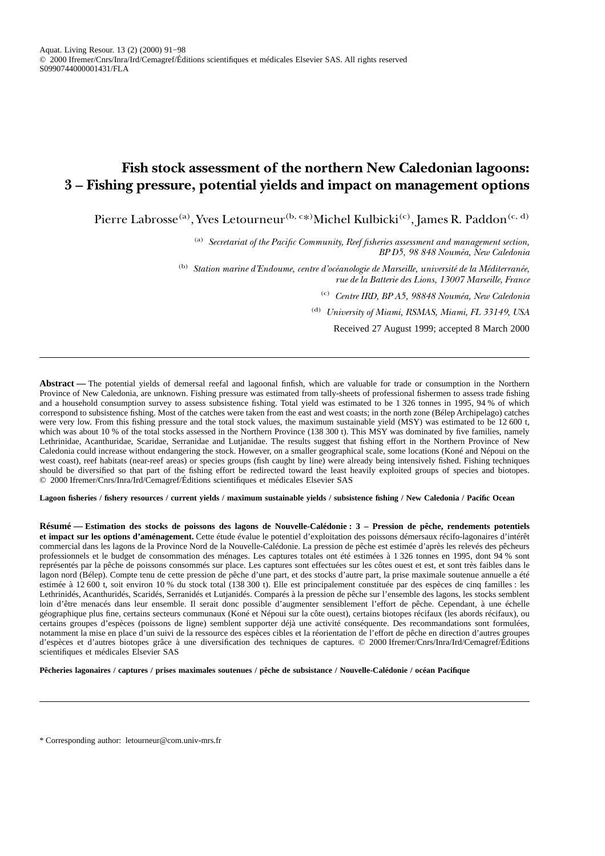# **Fish stock assessment of the northern New Caledonian lagoons: 3 – Fishing pressure, potential yields and impact on management options**

Pierre Labrosse ${}^{({\rm a})}$ , Yves Letourneur ${}^{({\rm b,~c*)}}$ Michel Kulbicki ${}^{({\rm c})}$ , James R. Paddon ${}^{({\rm c,~d})}$ 

(a) *Secretariat of the Pacific Community, Reef fisheries assessment and management section, BP D5, 98 848 Nouméa, New Caledonia*

(b) *Station marine d'Endoume, centre d'océanologie de Marseille, université de la Méditerranée, rue de la Batterie des Lions, 13007 Marseille, France*

(c) *Centre IRD, BP A5, 98848 Nouméa, New Caledonia*

(d) *University of Miami, RSMAS, Miami, FL 33149, USA*

Received 27 August 1999; accepted 8 March 2000

**Abstract —** The potential yields of demersal reefal and lagoonal finfish, which are valuable for trade or consumption in the Northern Province of New Caledonia, are unknown. Fishing pressure was estimated from tally-sheets of professional fishermen to assess trade fishing and a household consumption survey to assess subsistence fishing. Total yield was estimated to be 1 326 tonnes in 1995, 94 % of which correspond to subsistence fishing. Most of the catches were taken from the east and west coasts; in the north zone (Bélep Archipelago) catches were very low. From this fishing pressure and the total stock values, the maximum sustainable yield (MSY) was estimated to be 12 600 t, which was about 10 % of the total stocks assessed in the Northern Province (138 300 t). This MSY was dominated by five families, namely Lethrinidae, Acanthuridae, Scaridae, Serranidae and Lutjanidae. The results suggest that fishing effort in the Northern Province of New Caledonia could increase without endangering the stock. However, on a smaller geographical scale, some locations (Koné and Népoui on the west coast), reef habitats (near-reef areas) or species groups (fish caught by line) were already being intensively fished. Fishing techniques should be diversified so that part of the fishing effort be redirected toward the least heavily exploited groups of species and biotopes. © 2000 Ifremer/Cnrs/Inra/Ird/Cemagref/Éditions scientifiques et médicales Elsevier SAS

**Lagoon fisheries / fishery resources / current yields / maximum sustainable yields / subsistence fishing / New Caledonia / Pacific Ocean**

**Résumé — Estimation des stocks de poissons des lagons de Nouvelle-Calédonie : 3 – Pression de pêche, rendements potentiels et impact sur les options d'aménagement.** Cette étude évalue le potentiel d'exploitation des poissons démersaux récifo-lagonaires d'intérêt commercial dans les lagons de la Province Nord de la Nouvelle-Calédonie. La pression de pêche est estimée d'après les relevés des pêcheurs professionnels et le budget de consommation des ménages. Les captures totales ont été estimées à 1 326 tonnes en 1995, dont 94 % sont représentés par la pêche de poissons consommés sur place. Les captures sont effectuées sur les côtes ouest et est, et sont très faibles dans le lagon nord (Bélep). Compte tenu de cette pression de pêche d'une part, et des stocks d'autre part, la prise maximale soutenue annuelle a été estimée à 12 600 t, soit environ 10 % du stock total (138 300 t). Elle est principalement constituée par des espèces de cinq familles : les Lethrinidés, Acanthuridés, Scaridés, Serranidés et Lutjanidés. Comparés à la pression de pêche sur l'ensemble des lagons, les stocks semblent loin d'être menacés dans leur ensemble. Il serait donc possible d'augmenter sensiblement l'effort de pêche. Cependant, à une échelle géographique plus fine, certains secteurs communaux (Koné et Népoui sur la côte ouest), certains biotopes récifaux (les abords récifaux), ou certains groupes d'espèces (poissons de ligne) semblent supporter déjà une activité conséquente. Des recommandations sont formulées, notamment la mise en place d'un suivi de la ressource des espèces cibles et la réorientation de l'effort de pêche en direction d'autres groupes d'espèces et d'autres biotopes grâce à une diversification des techniques de captures. © 2000 Ifremer/Cnrs/Inra/Ird/Cemagref/Éditions scientifiques et médicales Elsevier SAS

**Pêcheries lagonaires / captures / prises maximales soutenues / pêche de subsistance / Nouvelle-Calédonie / océan Pacifique**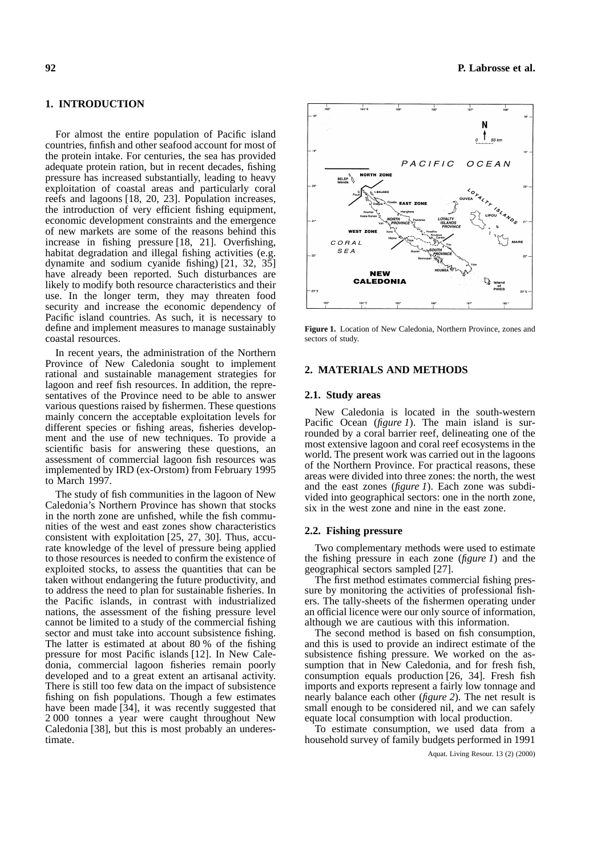## **1. INTRODUCTION**

For almost the entire population of Pacific island countries, finfish and other seafood account for most of the protein intake. For centuries, the sea has provided adequate protein ration, but in recent decades, fishing pressure has increased substantially, leading to heavy exploitation of coastal areas and particularly coral reefs and lagoons [18, 20, 23]. Population increases, the introduction of very efficient fishing equipment, economic development constraints and the emergence of new markets are some of the reasons behind this increase in fishing pressure [18, 21]. Overfishing, habitat degradation and illegal fishing activities (e.g. dynamite and sodium cyanide fishing) [21, 32, 35] have already been reported. Such disturbances are likely to modify both resource characteristics and their use. In the longer term, they may threaten food security and increase the economic dependency of Pacific island countries. As such, it is necessary to define and implement measures to manage sustainably coastal resources.

In recent years, the administration of the Northern Province of New Caledonia sought to implement rational and sustainable management strategies for lagoon and reef fish resources. In addition, the representatives of the Province need to be able to answer various questions raised by fishermen. These questions mainly concern the acceptable exploitation levels for different species or fishing areas, fisheries development and the use of new techniques. To provide a scientific basis for answering these questions, an assessment of commercial lagoon fish resources was implemented by IRD (ex-Orstom) from February 1995 to March 1997.

The study of fish communities in the lagoon of New Caledonia's Northern Province has shown that stocks in the north zone are unfished, while the fish communities of the west and east zones show characteristics consistent with exploitation [25, 27, 30]. Thus, accurate knowledge of the level of pressure being applied to those resources is needed to confirm the existence of exploited stocks, to assess the quantities that can be taken without endangering the future productivity, and to address the need to plan for sustainable fisheries. In the Pacific islands, in contrast with industrialized nations, the assessment of the fishing pressure level cannot be limited to a study of the commercial fishing sector and must take into account subsistence fishing. The latter is estimated at about 80 % of the fishing pressure for most Pacific islands [12]. In New Caledonia, commercial lagoon fisheries remain poorly developed and to a great extent an artisanal activity. There is still too few data on the impact of subsistence fishing on fish populations. Though a few estimates have been made [34], it was recently suggested that 2 000 tonnes a year were caught throughout New Caledonia [38], but this is most probably an underestimate.



**Figure 1.** Location of New Caledonia, Northern Province, zones and sectors of study.

## **2. MATERIALS AND METHODS**

#### **2.1. Study areas**

New Caledonia is located in the south-western Pacific Ocean (*figure 1*). The main island is surrounded by a coral barrier reef, delineating one of the most extensive lagoon and coral reef ecosystems in the world. The present work was carried out in the lagoons of the Northern Province. For practical reasons, these areas were divided into three zones: the north, the west and the east zones (*figure 1*). Each zone was subdivided into geographical sectors: one in the north zone, six in the west zone and nine in the east zone.

## **2.2. Fishing pressure**

Two complementary methods were used to estimate the fishing pressure in each zone (*figure 1*) and the geographical sectors sampled [27].

The first method estimates commercial fishing pressure by monitoring the activities of professional fishers. The tally-sheets of the fishermen operating under an official licence were our only source of information, although we are cautious with this information.

The second method is based on fish consumption, and this is used to provide an indirect estimate of the subsistence fishing pressure. We worked on the assumption that in New Caledonia, and for fresh fish, consumption equals production [26, 34]. Fresh fish imports and exports represent a fairly low tonnage and nearly balance each other (*figure 2*). The net result is small enough to be considered nil, and we can safely equate local consumption with local production.

To estimate consumption, we used data from a household survey of family budgets performed in 1991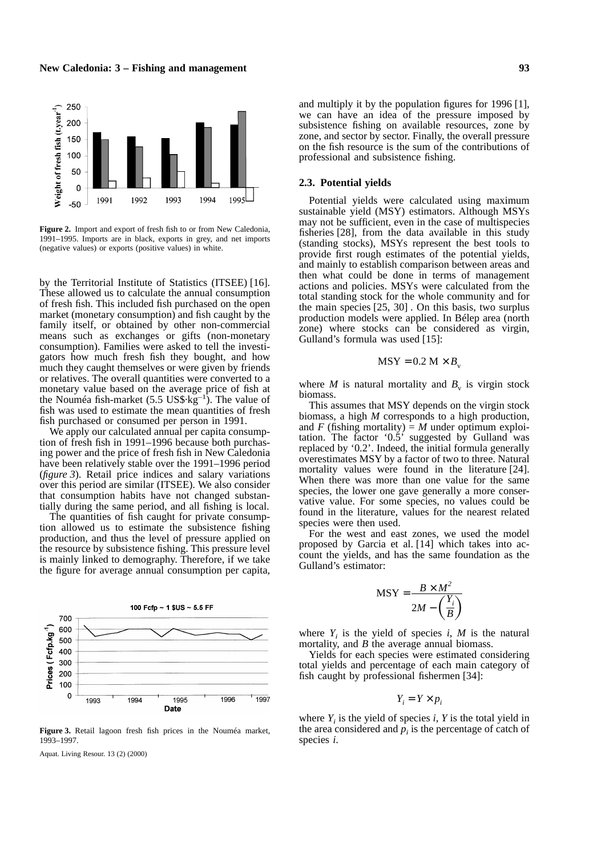

**Figure 2.** Import and export of fresh fish to or from New Caledonia, 1991–1995. Imports are in black, exports in grey, and net imports (negative values) or exports (positive values) in white.

by the Territorial Institute of Statistics (ITSEE) [16]. These allowed us to calculate the annual consumption of fresh fish. This included fish purchased on the open market (monetary consumption) and fish caught by the family itself, or obtained by other non-commercial means such as exchanges or gifts (non-monetary consumption). Families were asked to tell the investigators how much fresh fish they bought, and how much they caught themselves or were given by friends or relatives. The overall quantities were converted to a monetary value based on the average price of fish at the Nouméa fish-market  $(5.5 \text{ US$~kg}^{-1})$ . The value of fish was used to estimate the mean quantities of fresh fish purchased or consumed per person in 1991.

We apply our calculated annual per capita consumption of fresh fish in 1991–1996 because both purchasing power and the price of fresh fish in New Caledonia have been relatively stable over the 1991–1996 period (*figure 3*). Retail price indices and salary variations over this period are similar (ITSEE). We also consider that consumption habits have not changed substantially during the same period, and all fishing is local.

The quantities of fish caught for private consumption allowed us to estimate the subsistence fishing production, and thus the level of pressure applied on the resource by subsistence fishing. This pressure level is mainly linked to demography. Therefore, if we take the figure for average annual consumption per capita,



**Figure 3.** Retail lagoon fresh fish prices in the Nouméa market, 1993–1997.

and multiply it by the population figures for 1996 [1], we can have an idea of the pressure imposed by subsistence fishing on available resources, zone by zone, and sector by sector. Finally, the overall pressure on the fish resource is the sum of the contributions of professional and subsistence fishing.

#### **2.3. Potential yields**

Potential yields were calculated using maximum sustainable yield (MSY) estimators. Although MSYs may not be sufficient, even in the case of multispecies fisheries [28], from the data available in this study (standing stocks), MSYs represent the best tools to provide first rough estimates of the potential yields, and mainly to establish comparison between areas and then what could be done in terms of management actions and policies. MSYs were calculated from the total standing stock for the whole community and for the main species [25, 30] . On this basis, two surplus production models were applied. In Bélep area (north zone) where stocks can be considered as virgin, Gulland's formula was used [15]:

$$
MSY = 0.2 M \times B_v
$$

where *M* is natural mortality and  $B_v$  is virgin stock biomass.

This assumes that MSY depends on the virgin stock biomass, a high *M* corresponds to a high production, and *F* (fishing mortality) = *M* under optimum exploitation. The factor '0.5' suggested by Gulland was replaced by '0.2'. Indeed, the initial formula generally overestimates MSY by a factor of two to three. Natural mortality values were found in the literature [24]. When there was more than one value for the same species, the lower one gave generally a more conservative value. For some species, no values could be found in the literature, values for the nearest related species were then used.

For the west and east zones, we used the model proposed by Garcia et al. [14] which takes into account the yields, and has the same foundation as the Gulland's estimator:

$$
MSY = \frac{B \times M^2}{2M - \left(\frac{Y_i}{B}\right)}
$$

where  $Y_i$  is the yield of species  $i$ ,  $M$  is the natural mortality, and *B* the average annual biomass.

Yields for each species were estimated considering total yields and percentage of each main category of fish caught by professional fishermen [34]:

$$
Y_i = Y \times p_i
$$

where  $Y_i$  is the yield of species  $i$ ,  $Y$  is the total yield in the area considered and  $p_i$  is the percentage of catch of species *i*.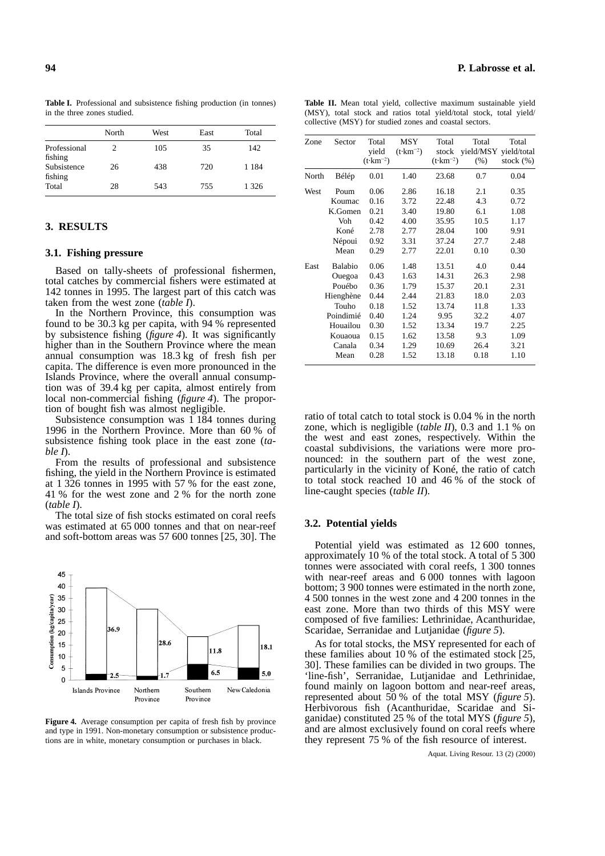North West East Total Professional fishing 2 105 35 142 Subsistence fishing 26 438 720 1 184

Total 28 543 755 1 326

**Table I.** Professional and subsistence fishing production (in tonnes) in the three zones studied.

## **3. RESULTS**

#### **3.1. Fishing pressure**

Based on tally-sheets of professional fishermen, total catches by commercial fishers were estimated at 142 tonnes in 1995. The largest part of this catch was taken from the west zone (*table I*).

In the Northern Province, this consumption was found to be 30.3 kg per capita, with 94 % represented by subsistence fishing (*figure 4*). It was significantly higher than in the Southern Province where the mean annual consumption was 18.3 kg of fresh fish per capita. The difference is even more pronounced in the Islands Province, where the overall annual consumption was of 39.4 kg per capita, almost entirely from local non-commercial fishing (*figure 4*). The proportion of bought fish was almost negligible.

Subsistence consumption was 1 184 tonnes during 1996 in the Northern Province. More than 60 % of subsistence fishing took place in the east zone (*table I*).

From the results of professional and subsistence fishing, the yield in the Northern Province is estimated at 1 326 tonnes in 1995 with 57 % for the east zone, 41 % for the west zone and 2 % for the north zone (*table I*).

The total size of fish stocks estimated on coral reefs was estimated at 65 000 tonnes and that on near-reef and soft-bottom areas was 57 600 tonnes [25, 30]. The

**Figure 4.** Average consumption per capita of fresh fish by province and type in 1991. Non-monetary consumption or subsistence productions are in white, monetary consumption or purchases in black.

| Zone  | Sector         | Total<br>yield      | <b>MSY</b><br>$(t \cdot km^{-2})$ | Total               | Total<br>stock yield/MSY yield/total | Total         |
|-------|----------------|---------------------|-----------------------------------|---------------------|--------------------------------------|---------------|
|       |                | $(t \cdot km^{-2})$ |                                   | $(t \cdot km^{-2})$ | (% )                                 | stock $(\% )$ |
| North | Bélép          | 0.01                | 1.40                              | 23.68               | 0.7                                  | 0.04          |
| West  | Poum           | 0.06                | 2.86                              | 16.18               | 2.1                                  | 0.35          |
|       | Koumac         | 0.16                | 3.72                              | 22.48               | 4.3                                  | 0.72          |
|       | K.Gomen        | 0.21                | 3.40                              | 19.80               | 6.1                                  | 1.08          |
|       | Voh            | 0.42                | 4.00                              | 35.95               | 10.5                                 | 1.17          |
|       | Koné           | 2.78                | 2.77                              | 28.04               | 100                                  | 9.91          |
|       | Népoui         | 0.92                | 3.31                              | 37.24               | 27.7                                 | 2.48          |
|       | Mean           | 0.29                | 2.77                              | 22.01               | 0.10                                 | 0.30          |
| East  | <b>Balabio</b> | 0.06                | 1.48                              | 13.51               | 4.0                                  | 0.44          |
|       | Ouegoa         | 0.43                | 1.63                              | 14.31               | 26.3                                 | 2.98          |
|       | Pouébo         | 0.36                | 1.79                              | 15.37               | 20.1                                 | 2.31          |
|       | Hienghène      | 0.44                | 2.44                              | 21.83               | 18.0                                 | 2.03          |
|       | Touho          | 0.18                | 1.52                              | 13.74               | 11.8                                 | 1.33          |
|       | Poindimié      | 0.40                | 1.24                              | 9.95                | 32.2                                 | 4.07          |
|       | Houailou       | 0.30                | 1.52                              | 13.34               | 19.7                                 | 2.25          |
|       | Kouaoua        | 0.15                | 1.62                              | 13.58               | 9.3                                  | 1.09          |
|       | Canala         | 0.34                | 1.29                              | 10.69               | 26.4                                 | 3.21          |
|       | Mean           | 0.28                | 1.52                              | 13.18               | 0.18                                 | 1.10          |
|       |                |                     |                                   |                     |                                      |               |

Table II. Mean total yield, collective maximum sustainable yield (MSY), total stock and ratios total yield/total stock, total yield/

collective (MSY) for studied zones and coastal sectors.

 $\overline{\mathbf{M}}$ 

ratio of total catch to total stock is 0.04 % in the north zone, which is negligible (*table II*), 0.3 and 1.1 % on the west and east zones, respectively. Within the coastal subdivisions, the variations were more pronounced: in the southern part of the west zone, particularly in the vicinity of Koné, the ratio of catch to total stock reached 10 and 46 % of the stock of line-caught species (*table II*).

#### **3.2. Potential yields**

Potential yield was estimated as 12 600 tonnes, approximately 10 % of the total stock. A total of 5 300 tonnes were associated with coral reefs, 1 300 tonnes with near-reef areas and 6 000 tonnes with lagoon bottom; 3 900 tonnes were estimated in the north zone, 4 500 tonnes in the west zone and 4 200 tonnes in the east zone. More than two thirds of this MSY were composed of five families: Lethrinidae, Acanthuridae, Scaridae, Serranidae and Lutjanidae (*figure 5*).

As for total stocks, the MSY represented for each of these families about 10 % of the estimated stock [25, 30]. These families can be divided in two groups. The 'line-fish', Serranidae, Lutjanidae and Lethrinidae, found mainly on lagoon bottom and near-reef areas, represented about 50 % of the total MSY (*figure 5*). Herbivorous fish (Acanthuridae, Scaridae and Siganidae) constituted 25 % of the total MYS (*figure 5*), and are almost exclusively found on coral reefs where they represent 75 % of the fish resource of interest.

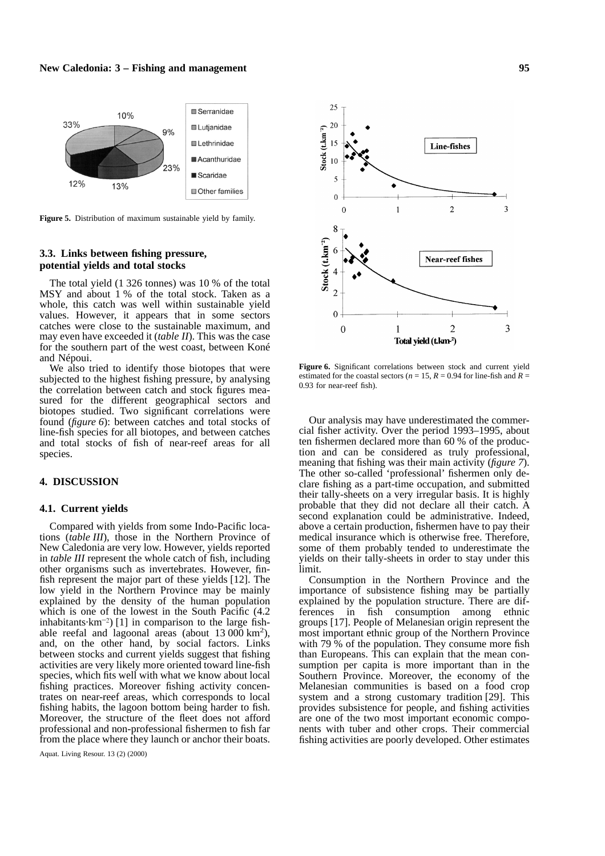

**Figure 5.** Distribution of maximum sustainable yield by family.

## **3.3. Links between fishing pressure, potential yields and total stocks**

The total yield (1 326 tonnes) was 10 % of the total MSY and about 1 % of the total stock. Taken as a whole, this catch was well within sustainable yield values. However, it appears that in some sectors catches were close to the sustainable maximum, and may even have exceeded it (*table II*). This was the case for the southern part of the west coast, between Koné and Népoui.

We also tried to identify those biotopes that were subjected to the highest fishing pressure, by analysing the correlation between catch and stock figures measured for the different geographical sectors and biotopes studied. Two significant correlations were found (*figure 6*): between catches and total stocks of line-fish species for all biotopes, and between catches and total stocks of fish of near-reef areas for all species.

## **4. DISCUSSION**

#### **4.1. Current yields**

Compared with yields from some Indo-Pacific locations (*table III*), those in the Northern Province of New Caledonia are very low. However, yields reported in *table III* represent the whole catch of fish, including other organisms such as invertebrates. However, finfish represent the major part of these yields [12]. The low yield in the Northern Province may be mainly explained by the density of the human population which is one of the lowest in the South Pacific (4.2 inhabitants· $km^{-2}$ ) [1] in comparison to the large fishable reefal and lagoonal areas (about  $13\,000\,\mathrm{km^2}$ ), and, on the other hand, by social factors. Links between stocks and current yields suggest that fishing activities are very likely more oriented toward line-fish species, which fits well with what we know about local fishing practices. Moreover fishing activity concentrates on near-reef areas, which corresponds to local fishing habits, the lagoon bottom being harder to fish. Moreover, the structure of the fleet does not afford professional and non-professional fishermen to fish far from the place where they launch or anchor their boats.



**Figure 6.** Significant correlations between stock and current yield estimated for the coastal sectors ( $n = 15$ ,  $R = 0.94$  for line-fish and  $R =$ 0.93 for near-reef fish).

Our analysis may have underestimated the commercial fisher activity. Over the period 1993–1995, about ten fishermen declared more than 60 % of the production and can be considered as truly professional, meaning that fishing was their main activity (*figure 7*). The other so-called 'professional' fishermen only declare fishing as a part-time occupation, and submitted their tally-sheets on a very irregular basis. It is highly probable that they did not declare all their catch. A second explanation could be administrative. Indeed, above a certain production, fishermen have to pay their medical insurance which is otherwise free. Therefore, some of them probably tended to underestimate the yields on their tally-sheets in order to stay under this limit.

Consumption in the Northern Province and the importance of subsistence fishing may be partially explained by the population structure. There are differences in fish consumption among ethnic groups [17]. People of Melanesian origin represent the most important ethnic group of the Northern Province with 79 % of the population. They consume more fish than Europeans. This can explain that the mean consumption per capita is more important than in the Southern Province. Moreover, the economy of the Melanesian communities is based on a food crop system and a strong customary tradition [29]. This provides subsistence for people, and fishing activities are one of the two most important economic components with tuber and other crops. Their commercial fishing activities are poorly developed. Other estimates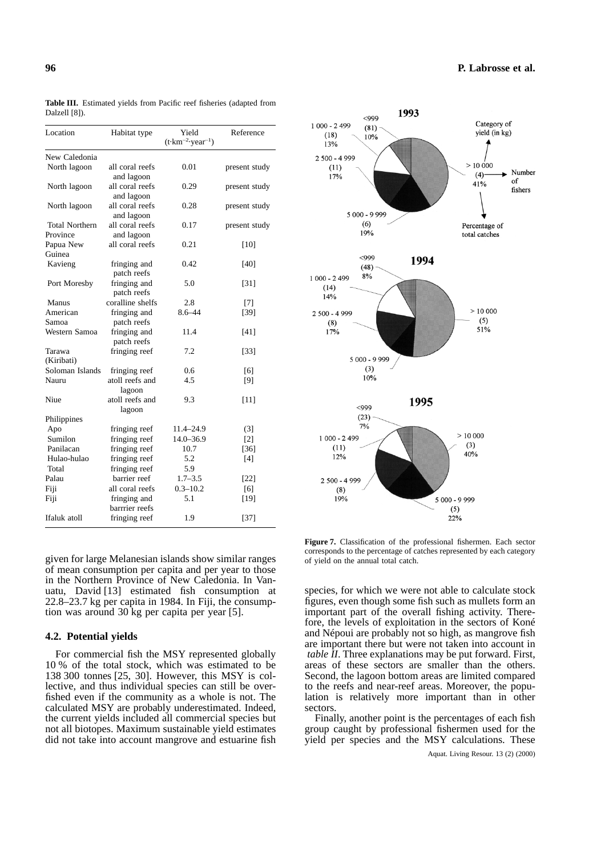| Location                          | Habitat type                   | Yield<br>$(t \cdot km^{-2} \cdot year^{-1})$ | Reference     |
|-----------------------------------|--------------------------------|----------------------------------------------|---------------|
| New Caledonia                     |                                |                                              |               |
| North lagoon                      | all coral reefs<br>and lagoon  | 0.01                                         | present study |
| North lagoon                      | all coral reefs<br>and lagoon  | 0.29                                         | present study |
| North lagoon                      | all coral reefs<br>and lagoon  | 0.28                                         | present study |
| <b>Total Northern</b><br>Province | all coral reefs<br>and lagoon  | 0.17                                         | present study |
| Papua New<br>Guinea               | all coral reefs                | 0.21                                         | [10]          |
| Kavieng                           | fringing and<br>patch reefs    | 0.42                                         | [40]          |
| Port Moresby                      | fringing and<br>patch reefs    | 5.0                                          | [31]          |
| Manus                             | coralline shelfs               | 2.8                                          | $[7]$         |
| American<br>Samoa                 | fringing and<br>patch reefs    | 8.6-44                                       | $[39]$        |
| Western Samoa                     | fringing and<br>patch reefs    | 11.4                                         | [41]          |
| Tarawa<br>(Kiribati)              | fringing reef                  | 7.2                                          | $[33]$        |
| Soloman Islands                   | fringing reef                  | 0.6                                          | [6]           |
| Nauru                             | atoll reefs and<br>lagoon      | 4.5                                          | [9]           |
| Niue                              | atoll reefs and<br>lagoon      | 9.3                                          | $[11]$        |
| Philippines                       |                                |                                              |               |
| Apo                               | fringing reef                  | 11.4-24.9                                    | (3]           |
| Sumilon                           | fringing reef                  | 14.0-36.9                                    | $[2]$         |
| Panilacan                         | fringing reef                  | 10.7                                         | $[36]$        |
| Hulao-hulao                       | fringing reef                  | 5.2                                          | [4]           |
| Total                             | fringing reef                  | 5.9                                          |               |
| Palau                             | barrier reef                   | $1.7 - 3.5$                                  | $[22]$        |
| Fiji                              | all coral reefs                | $0.3 - 10.2$                                 | [6]           |
| Fiji                              | fringing and<br>barrrier reefs | 5.1                                          | [19]          |
| Ifaluk atoll                      | fringing reef                  | 1.9                                          | $[37]$        |

**Table III.** Estimated yields from Pacific reef fisheries (adapted from Dalzell [8]).

given for large Melanesian islands show similar ranges of mean consumption per capita and per year to those in the Northern Province of New Caledonia. In Vanuatu, David [13] estimated fish consumption at 22.8–23.7 kg per capita in 1984. In Fiji, the consumption was around 30 kg per capita per year [5].

#### **4.2. Potential yields**

For commercial fish the MSY represented globally 10 % of the total stock, which was estimated to be 138 300 tonnes [25, 30]. However, this MSY is collective, and thus individual species can still be overfished even if the community as a whole is not. The calculated MSY are probably underestimated. Indeed, the current yields included all commercial species but not all biotopes. Maximum sustainable yield estimates did not take into account mangrove and estuarine fish



**Figure 7.** Classification of the professional fishermen. Each sector corresponds to the percentage of catches represented by each category of yield on the annual total catch.

species, for which we were not able to calculate stock figures, even though some fish such as mullets form an important part of the overall fishing activity. Therefore, the levels of exploitation in the sectors of Koné and Népoui are probably not so high, as mangrove fish are important there but were not taken into account in *table II*. Three explanations may be put forward. First, areas of these sectors are smaller than the others. Second, the lagoon bottom areas are limited compared to the reefs and near-reef areas. Moreover, the population is relatively more important than in other sectors.

Finally, another point is the percentages of each fish group caught by professional fishermen used for the yield per species and the MSY calculations. These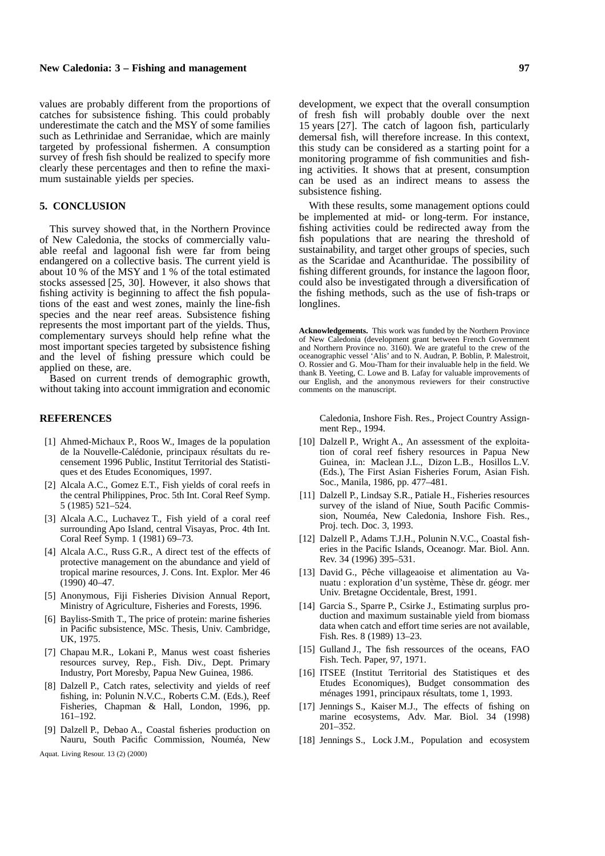## **New Caledonia: 3 – Fishing and management 97**

values are probably different from the proportions of catches for subsistence fishing. This could probably underestimate the catch and the MSY of some families such as Lethrinidae and Serranidae, which are mainly targeted by professional fishermen. A consumption survey of fresh fish should be realized to specify more clearly these percentages and then to refine the maximum sustainable yields per species.

## **5. CONCLUSION**

This survey showed that, in the Northern Province of New Caledonia, the stocks of commercially valuable reefal and lagoonal fish were far from being endangered on a collective basis. The current yield is about 10 % of the MSY and 1 % of the total estimated stocks assessed [25, 30]. However, it also shows that fishing activity is beginning to affect the fish populations of the east and west zones, mainly the line-fish species and the near reef areas. Subsistence fishing represents the most important part of the yields. Thus, complementary surveys should help refine what the most important species targeted by subsistence fishing and the level of fishing pressure which could be applied on these, are.

Based on current trends of demographic growth, without taking into account immigration and economic

#### **REFERENCES**

- [1] Ahmed-Michaux P., Roos W., Images de la population de la Nouvelle-Calédonie, principaux résultats du recensement 1996 Public, Institut Territorial des Statistiques et des Etudes Economiques, 1997.
- [2] Alcala A.C., Gomez E.T., Fish yields of coral reefs in the central Philippines, Proc. 5th Int. Coral Reef Symp. 5 (1985) 521–524.
- [3] Alcala A.C., Luchavez T., Fish yield of a coral reef surrounding Apo Island, central Visayas, Proc. 4th Int. Coral Reef Symp. 1 (1981) 69–73.
- [4] Alcala A.C., Russ G.R., A direct test of the effects of protective management on the abundance and yield of tropical marine resources, J. Cons. Int. Explor. Mer 46 (1990) 40–47.
- [5] Anonymous, Fiji Fisheries Division Annual Report, Ministry of Agriculture, Fisheries and Forests, 1996.
- [6] Bayliss-Smith T., The price of protein: marine fisheries in Pacific subsistence, MSc. Thesis, Univ. Cambridge, UK, 1975.
- [7] Chapau M.R., Lokani P., Manus west coast fisheries resources survey, Rep., Fish. Div., Dept. Primary Industry, Port Moresby, Papua New Guinea, 1986.
- [8] Dalzell P., Catch rates, selectivity and yields of reef fishing, in: Polunin N.V.C., Roberts C.M. (Eds.), Reef Fisheries, Chapman & Hall, London, 1996, pp. 161–192.
- [9] Dalzell P., Debao A., Coastal fisheries production on Nauru, South Pacific Commission, Nouméa, New

development, we expect that the overall consumption of fresh fish will probably double over the next 15 years [27]. The catch of lagoon fish, particularly demersal fish, will therefore increase. In this context, this study can be considered as a starting point for a monitoring programme of fish communities and fishing activities. It shows that at present, consumption can be used as an indirect means to assess the subsistence fishing.

With these results, some management options could be implemented at mid- or long-term. For instance, fishing activities could be redirected away from the fish populations that are nearing the threshold of sustainability, and target other groups of species, such as the Scaridae and Acanthuridae. The possibility of fishing different grounds, for instance the lagoon floor, could also be investigated through a diversification of the fishing methods, such as the use of fish-traps or longlines.

**Acknowledgements.** This work was funded by the Northern Province of New Caledonia (development grant between French Government and Northern Province no. 3160). We are grateful to the crew of the oceanographic vessel 'Alis' and to N. Audran, P. Boblin, P. Malestroit, O. Rossier and G. Mou-Tham for their invaluable help in the field. We thank B. Yeeting, C. Lowe and B. Lafay for valuable improvements of our English, and the anonymous reviewers for their constructive comments on the manuscript.

Caledonia, Inshore Fish. Res., Project Country Assignment Rep., 1994.

- [10] Dalzell P., Wright A., An assessment of the exploitation of coral reef fishery resources in Papua New Guinea, in: Maclean J.L., Dizon L.B., Hosillos L.V. (Eds.), The First Asian Fisheries Forum, Asian Fish. Soc., Manila, 1986, pp. 477–481.
- [11] Dalzell P., Lindsay S.R., Patiale H., Fisheries resources survey of the island of Niue, South Pacific Commission, Nouméa, New Caledonia, Inshore Fish. Res., Proj. tech. Doc. 3, 1993.
- [12] Dalzell P., Adams T.J.H., Polunin N.V.C., Coastal fisheries in the Pacific Islands, Oceanogr. Mar. Biol. Ann. Rev. 34 (1996) 395–531.
- [13] David G., Pêche villageaoise et alimentation au Vanuatu : exploration d'un système, Thèse dr. géogr. mer Univ. Bretagne Occidentale, Brest, 1991.
- [14] Garcia S., Sparre P., Csirke J., Estimating surplus production and maximum sustainable yield from biomass data when catch and effort time series are not available, Fish. Res. 8 (1989) 13–23.
- [15] Gulland J., The fish ressources of the oceans, FAO Fish. Tech. Paper, 97, 1971.
- [16] ITSEE (Institut Territorial des Statistiques et des Etudes Economiques), Budget consommation des ménages 1991, principaux résultats, tome 1, 1993.
- [17] Jennings S., Kaiser M.J., The effects of fishing on marine ecosystems, Adv. Mar. Biol. 34 (1998) 201–352.
- [18] Jennings S., Lock J.M., Population and ecosystem